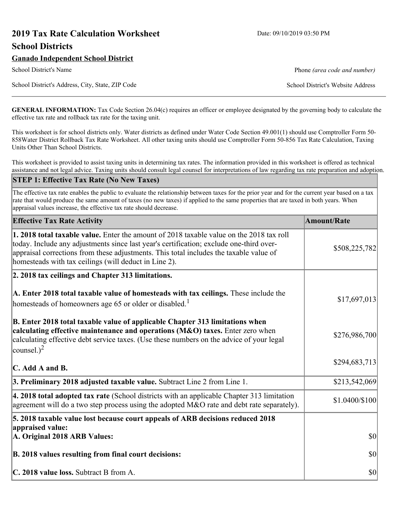# **2019 Tax Rate Calculation Worksheet** Date: 09/10/2019 03:50 PM **School Districts**

# **Ganado Independent School District**

School District's Address, City, State, ZIP Code School District's Website Address

School District's Name **Phone** *(area code and number)* Phone *(area code and number)* 

**GENERAL INFORMATION:** Tax Code Section 26.04(c) requires an officer or employee designated by the governing body to calculate the effective tax rate and rollback tax rate for the taxing unit.

This worksheet is for school districts only. Water districts as defined under Water Code Section 49.001(1) should use Comptroller Form 50- 858Water District Rollback Tax Rate Worksheet. All other taxing units should use Comptroller Form 50-856 Tax Rate Calculation, Taxing Units Other Than School Districts.

This worksheet is provided to assist taxing units in determining tax rates. The information provided in this worksheet is offered as technical assistance and not legal advice. Taxing units should consult legal counsel for interpretations of law regarding tax rate preparation and adoption.

#### **STEP 1: Effective Tax Rate (No New Taxes)**

The effective tax rate enables the public to evaluate the relationship between taxes for the prior year and for the current year based on a tax rate that would produce the same amount of taxes (no new taxes) if applied to the same properties that are taxed in both years. When appraisal values increase, the effective tax rate should decrease.

| <b>Effective Tax Rate Activity</b>                                                                                                                                                                                                                                                                                                     | <b>Amount/Rate</b> |
|----------------------------------------------------------------------------------------------------------------------------------------------------------------------------------------------------------------------------------------------------------------------------------------------------------------------------------------|--------------------|
| 1. 2018 total taxable value. Enter the amount of 2018 taxable value on the 2018 tax roll<br>today. Include any adjustments since last year's certification; exclude one-third over-<br>appraisal corrections from these adjustments. This total includes the taxable value of<br>homesteads with tax ceilings (will deduct in Line 2). | \$508,225,782      |
| 2. 2018 tax ceilings and Chapter 313 limitations.                                                                                                                                                                                                                                                                                      |                    |
| A. Enter 2018 total taxable value of homesteads with tax ceilings. These include the<br>homesteads of homeowners age 65 or older or disabled. <sup>1</sup>                                                                                                                                                                             | \$17,697,013       |
| B. Enter 2018 total taxable value of applicable Chapter 313 limitations when<br>calculating effective maintenance and operations (M&O) taxes. Enter zero when<br>calculating effective debt service taxes. (Use these numbers on the advice of your legal<br>counsel.) <sup>2</sup>                                                    | \$276,986,700      |
| $\mathbf C$ . Add A and B.                                                                                                                                                                                                                                                                                                             | \$294,683,713      |
| 3. Preliminary 2018 adjusted taxable value. Subtract Line 2 from Line 1.                                                                                                                                                                                                                                                               | \$213,542,069      |
| 4. 2018 total adopted tax rate (School districts with an applicable Chapter 313 limitation<br>agreement will do a two step process using the adopted M&O rate and debt rate separately).                                                                                                                                               | \$1.0400/\$100     |
| 5. 2018 taxable value lost because court appeals of ARB decisions reduced 2018                                                                                                                                                                                                                                                         |                    |
| appraised value:<br>A. Original 2018 ARB Values:                                                                                                                                                                                                                                                                                       | $ 10\rangle$       |
| B. 2018 values resulting from final court decisions:                                                                                                                                                                                                                                                                                   | $ 10\rangle$       |
| C. 2018 value loss. Subtract B from A.                                                                                                                                                                                                                                                                                                 | $ 10\rangle$       |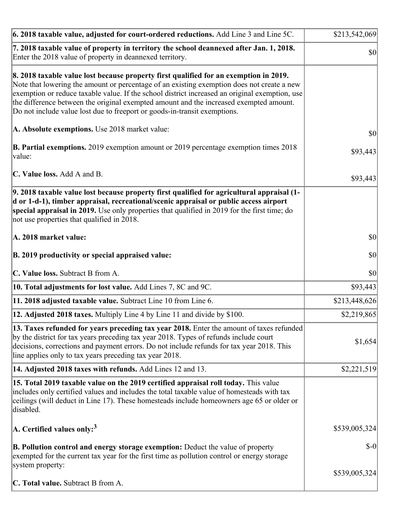| 6. 2018 taxable value, adjusted for court-ordered reductions. Add Line 3 and Line 5C.                                                                                                                                                                                                                                                                                                                                                                        | \$213,542,069 |
|--------------------------------------------------------------------------------------------------------------------------------------------------------------------------------------------------------------------------------------------------------------------------------------------------------------------------------------------------------------------------------------------------------------------------------------------------------------|---------------|
| 7. 2018 taxable value of property in territory the school deannexed after Jan. 1, 2018.<br>Enter the 2018 value of property in deannexed territory.                                                                                                                                                                                                                                                                                                          | $ 10\rangle$  |
| 8. 2018 taxable value lost because property first qualified for an exemption in 2019.<br>Note that lowering the amount or percentage of an existing exemption does not create a new<br>exemption or reduce taxable value. If the school district increased an original exemption, use<br>the difference between the original exempted amount and the increased exempted amount.<br>Do not include value lost due to freeport or goods-in-transit exemptions. |               |
| A. Absolute exemptions. Use 2018 market value:                                                                                                                                                                                                                                                                                                                                                                                                               | \$0           |
| <b>B. Partial exemptions.</b> 2019 exemption amount or 2019 percentage exemption times 2018<br>$\vert$ value:                                                                                                                                                                                                                                                                                                                                                | \$93,443      |
| C. Value loss. Add A and B.                                                                                                                                                                                                                                                                                                                                                                                                                                  | \$93,443      |
| 9. 2018 taxable value lost because property first qualified for agricultural appraisal (1-<br>d or 1-d-1), timber appraisal, recreational/scenic appraisal or public access airport<br>special appraisal in 2019. Use only properties that qualified in 2019 for the first time; do<br>not use properties that qualified in 2018.                                                                                                                            |               |
| A. 2018 market value:                                                                                                                                                                                                                                                                                                                                                                                                                                        | $ 10\rangle$  |
| B. 2019 productivity or special appraised value:                                                                                                                                                                                                                                                                                                                                                                                                             | \$0           |
| C. Value loss. Subtract B from A.                                                                                                                                                                                                                                                                                                                                                                                                                            | $ 10\rangle$  |
| 10. Total adjustments for lost value. Add Lines 7, 8C and 9C.                                                                                                                                                                                                                                                                                                                                                                                                | \$93,443      |
| 11. 2018 adjusted taxable value. Subtract Line 10 from Line 6.                                                                                                                                                                                                                                                                                                                                                                                               | \$213,448,626 |
| 12. Adjusted 2018 taxes. Multiply Line 4 by Line 11 and divide by \$100.                                                                                                                                                                                                                                                                                                                                                                                     | \$2,219,865   |
| [13. Taxes refunded for years preceding tax year 2018. Enter the amount of taxes refunded]<br>by the district for tax years preceding tax year 2018. Types of refunds include court<br>decisions, corrections and payment errors. Do not include refunds for tax year 2018. This<br>line applies only to tax years preceding tax year 2018.                                                                                                                  | \$1,654       |
| 14. Adjusted 2018 taxes with refunds. Add Lines 12 and 13.                                                                                                                                                                                                                                                                                                                                                                                                   | \$2,221,519   |
| 15. Total 2019 taxable value on the 2019 certified appraisal roll today. This value<br>includes only certified values and includes the total taxable value of homesteads with tax<br>ceilings (will deduct in Line 17). These homesteads include homeowners age 65 or older or<br>disabled.                                                                                                                                                                  |               |
| A. Certified values only: <sup>3</sup>                                                                                                                                                                                                                                                                                                                                                                                                                       | \$539,005,324 |
| <b>B. Pollution control and energy storage exemption:</b> Deduct the value of property<br>exempted for the current tax year for the first time as pollution control or energy storage<br>system property:                                                                                                                                                                                                                                                    | $S-0$         |
| <b>C. Total value.</b> Subtract B from A.                                                                                                                                                                                                                                                                                                                                                                                                                    | \$539,005,324 |
|                                                                                                                                                                                                                                                                                                                                                                                                                                                              |               |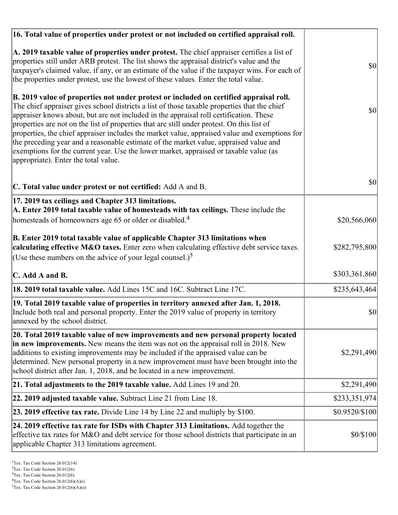| 16. Total value of properties under protest or not included on certified appraisal roll.                                                                                                                                                                                                                                                                                                                                                                                                                                                                                                                                                                                                                  |                |
|-----------------------------------------------------------------------------------------------------------------------------------------------------------------------------------------------------------------------------------------------------------------------------------------------------------------------------------------------------------------------------------------------------------------------------------------------------------------------------------------------------------------------------------------------------------------------------------------------------------------------------------------------------------------------------------------------------------|----------------|
| A. 2019 taxable value of properties under protest. The chief appraiser certifies a list of<br>properties still under ARB protest. The list shows the appraisal district's value and the<br>taxpayer's claimed value, if any, or an estimate of the value if the taxpayer wins. For each of<br>the properties under protest, use the lowest of these values. Enter the total value.                                                                                                                                                                                                                                                                                                                        | <b>\$0</b>     |
| B. 2019 value of properties not under protest or included on certified appraisal roll.<br>The chief appraiser gives school districts a list of those taxable properties that the chief<br>appraiser knows about, but are not included in the appraisal roll certification. These<br>properties are not on the list of properties that are still under protest. On this list of<br>properties, the chief appraiser includes the market value, appraised value and exemptions for<br>the preceding year and a reasonable estimate of the market value, appraised value and<br>exemptions for the current year. Use the lower market, appraised or taxable value (as<br>appropriate). Enter the total value. | $ 10\rangle$   |
| C. Total value under protest or not certified: Add A and B.                                                                                                                                                                                                                                                                                                                                                                                                                                                                                                                                                                                                                                               | <b>\$0</b>     |
| 17. 2019 tax ceilings and Chapter 313 limitations.<br>A. Enter 2019 total taxable value of homesteads with tax ceilings. These include the                                                                                                                                                                                                                                                                                                                                                                                                                                                                                                                                                                |                |
| homesteads of homeowners age 65 or older or disabled. <sup>4</sup>                                                                                                                                                                                                                                                                                                                                                                                                                                                                                                                                                                                                                                        | \$20,566,060   |
| B. Enter 2019 total taxable value of applicable Chapter 313 limitations when<br>calculating effective M&O taxes. Enter zero when calculating effective debt service taxes.<br>(Use these numbers on the advice of your legal counsel.) <sup>5</sup>                                                                                                                                                                                                                                                                                                                                                                                                                                                       | \$282,795,800  |
| C. Add A and B.                                                                                                                                                                                                                                                                                                                                                                                                                                                                                                                                                                                                                                                                                           | \$303,361,860  |
| 18. 2019 total taxable value. Add Lines 15C and 16C. Subtract Line 17C.                                                                                                                                                                                                                                                                                                                                                                                                                                                                                                                                                                                                                                   | \$235,643,464] |
| 19. Total 2019 taxable value of properties in territory annexed after Jan. 1, 2018.<br>Include both real and personal property. Enter the 2019 value of property in territory<br>annexed by the school district.                                                                                                                                                                                                                                                                                                                                                                                                                                                                                          | \$0            |
| 20. Total 2019 taxable value of new improvements and new personal property located<br>in new improvements. New means the item was not on the appraisal roll in 2018. New<br>additions to existing improvements may be included if the appraised value can be<br>determined. New personal property in a new improvement must have been brought into the<br>school district after Jan. 1, 2018, and be located in a new improvement.                                                                                                                                                                                                                                                                        | \$2,291,490    |
| 21. Total adjustments to the 2019 taxable value. Add Lines 19 and 20.                                                                                                                                                                                                                                                                                                                                                                                                                                                                                                                                                                                                                                     | \$2,291,490    |
| 22. 2019 adjusted taxable value. Subtract Line 21 from Line 18.                                                                                                                                                                                                                                                                                                                                                                                                                                                                                                                                                                                                                                           | \$233,351,974  |
| <b>23. 2019 effective tax rate.</b> Divide Line 14 by Line 22 and multiply by \$100.                                                                                                                                                                                                                                                                                                                                                                                                                                                                                                                                                                                                                      | \$0.9520/\$100 |
| 24. 2019 effective tax rate for ISDs with Chapter 313 Limitations. Add together the<br>effective tax rates for M&O and debt service for those school districts that participate in an<br>applicable Chapter 313 limitations agreement.                                                                                                                                                                                                                                                                                                                                                                                                                                                                    | \$0/\$100      |

<sup>3</sup>Tex. Tax Code Section 26.012(6)

 $2$ Tex. Tax Code Section 26.012(6)

 ${}^{4}$ Tex. Tax Code Section 26.012(6)(A)(i)

 $5$ Tex. Tax Code Section 26.012(6)(A)(ii)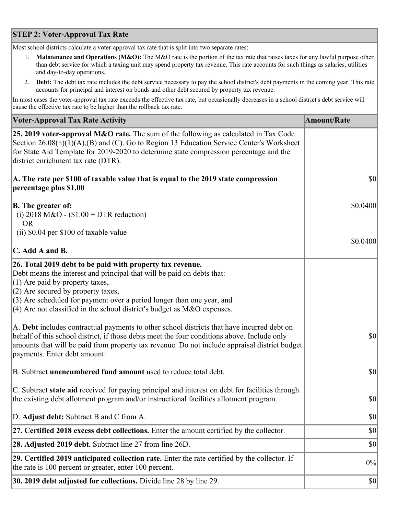## **STEP 2: Voter-Approval Tax Rate**

Most school districts calculate a voter-approval tax rate that is split into two separate rates:

- 1. **Maintenance and Operations (M&O):** The M&O rate is the portion of the tax rate that raises taxes for any lawful purpose other than debt service for which a taxing unit may spend property tax revenue. This rate accounts for such things as salaries, utilities and day-to-day operations.
- 2. **Debt:** The debt tax rate includes the debt service necessary to pay the school district's debt payments in the coming year. This rate accounts for principal and interest on bonds and other debt secured by property tax revenue.

In most cases the voter-approval tax rate exceeds the effective tax rate, but occasionally decreases in a school district's debt service will cause the effective tax rate to be higher than the rollback tax rate.

| <b>Voter-Approval Tax Rate Activity</b>                                                                                                                                                                                                                                                                                                                                  | <b>Amount/Rate</b> |
|--------------------------------------------------------------------------------------------------------------------------------------------------------------------------------------------------------------------------------------------------------------------------------------------------------------------------------------------------------------------------|--------------------|
| 25. 2019 voter-approval M&O rate. The sum of the following as calculated in Tax Code<br>Section $26.08(n)(1)(A),(B)$ and (C). Go to Region 13 Education Service Center's Worksheet<br>for State Aid Template for 2019-2020 to determine state compression percentage and the<br>district enrichment tax rate (DTR).                                                      |                    |
| A. The rate per \$100 of taxable value that is equal to the 2019 state compression<br>percentage plus \$1.00                                                                                                                                                                                                                                                             | \$0                |
| <b>B.</b> The greater of:<br>(i) 2018 M&O - $$1.00 + DTR$ reduction)<br><b>OR</b>                                                                                                                                                                                                                                                                                        | \$0.0400           |
| (ii) \$0.04 per \$100 of taxable value                                                                                                                                                                                                                                                                                                                                   |                    |
| $\mathbf C$ . Add A and B.                                                                                                                                                                                                                                                                                                                                               | \$0.0400           |
| 26. Total 2019 debt to be paid with property tax revenue.<br>Debt means the interest and principal that will be paid on debts that:<br>$(1)$ Are paid by property taxes,<br>$(2)$ Are secured by property taxes,<br>$(3)$ Are scheduled for payment over a period longer than one year, and<br>$(4)$ Are not classified in the school district's budget as M&O expenses. |                    |
| A. Debt includes contractual payments to other school districts that have incurred debt on<br>behalf of this school district, if those debts meet the four conditions above. Include only<br>amounts that will be paid from property tax revenue. Do not include appraisal district budget<br>payments. Enter debt amount:                                               | 30                 |
| B. Subtract unencumbered fund amount used to reduce total debt.                                                                                                                                                                                                                                                                                                          | $ 10\rangle$       |
| C. Subtract state aid received for paying principal and interest on debt for facilities through<br>the existing debt allotment program and/or instructional facilities allotment program.                                                                                                                                                                                | \$0                |
| D. Adjust debt: Subtract B and C from A.                                                                                                                                                                                                                                                                                                                                 | \$0                |
| 27. Certified 2018 excess debt collections. Enter the amount certified by the collector.                                                                                                                                                                                                                                                                                 | \$0                |
| 28. Adjusted 2019 debt. Subtract line 27 from line 26D.                                                                                                                                                                                                                                                                                                                  | \$0                |
| 29. Certified 2019 anticipated collection rate. Enter the rate certified by the collector. If<br>the rate is 100 percent or greater, enter 100 percent.                                                                                                                                                                                                                  | 0%                 |
| 30. 2019 debt adjusted for collections. Divide line 28 by line 29.                                                                                                                                                                                                                                                                                                       | $ 10\rangle$       |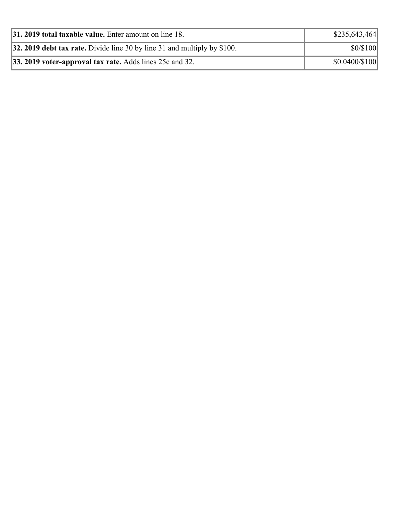| 31. 2019 total taxable value. Enter amount on line 18.                     | \$235,643,464        |
|----------------------------------------------------------------------------|----------------------|
| 32. 2019 debt tax rate. Divide line 30 by line 31 and multiply by $$100$ . | \$0/\$100            |
| $ 33.2019$ voter-approval tax rate. Adds lines 25c and 32.                 | $$0.0400 \times 100$ |